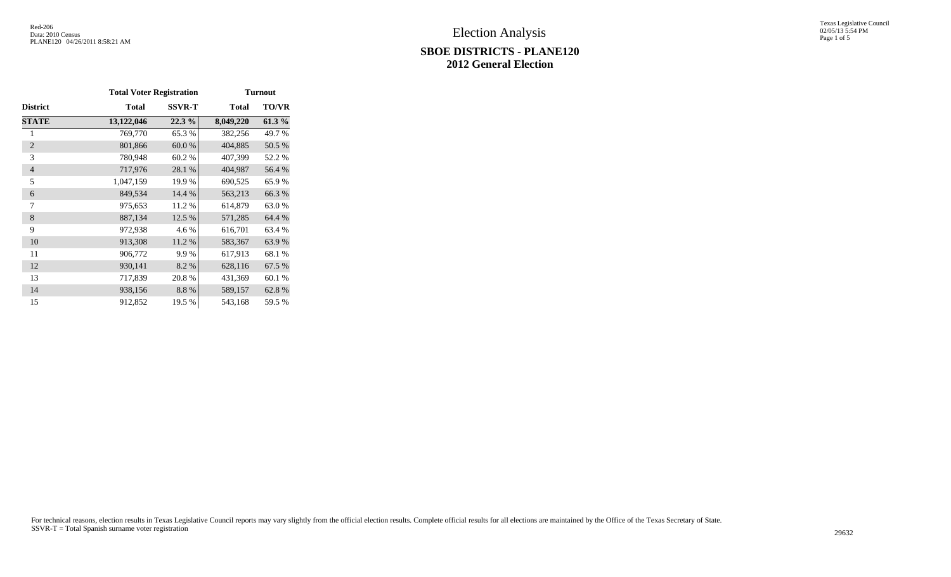## **SBOE DISTRICTS - PLANE120 2012 General Election**

Texas Legislative Council 02/05/13 5:54 PM Page 1 of 5

|                 | <b>Total Voter Registration</b> |               |              | <b>Turnout</b> |
|-----------------|---------------------------------|---------------|--------------|----------------|
| <b>District</b> | <b>Total</b>                    | <b>SSVR-T</b> | <b>Total</b> | <b>TO/VR</b>   |
| <b>STATE</b>    | 13,122,046                      | 22.3%         | 8,049,220    | 61.3%          |
| 1               | 769,770                         | 65.3%         | 382,256      | 49.7 %         |
| $\overline{2}$  | 801,866                         | 60.0%         | 404,885      | 50.5 %         |
| 3               | 780,948                         | 60.2%         | 407,399      | 52.2 %         |
| $\overline{4}$  | 717,976                         | 28.1 %        | 404,987      | 56.4 %         |
| 5               | 1,047,159                       | 19.9%         | 690,525      | 65.9%          |
| 6               | 849,534                         | 14.4 %        | 563,213      | 66.3%          |
| 7               | 975,653                         | 11.2%         | 614,879      | 63.0%          |
| 8               | 887,134                         | 12.5 %        | 571,285      | 64.4 %         |
| 9               | 972,938                         | 4.6 %         | 616,701      | 63.4 %         |
| 10              | 913,308                         | 11.2 %        | 583,367      | 63.9%          |
| 11              | 906,772                         | 9.9%          | 617,913      | 68.1 %         |
| 12              | 930,141                         | 8.2%          | 628,116      | 67.5 %         |
| 13              | 717,839                         | 20.8%         | 431,369      | 60.1%          |
| 14              | 938,156                         | 8.8%          | 589,157      | 62.8%          |
| 15              | 912,852                         | 19.5 %        | 543,168      | 59.5 %         |

For technical reasons, election results in Texas Legislative Council reports may vary slightly from the official election results. Complete official results for all elections are maintained by the Office of the Texas Secre SSVR-T = Total Spanish surname voter registration <sup>29632</sup>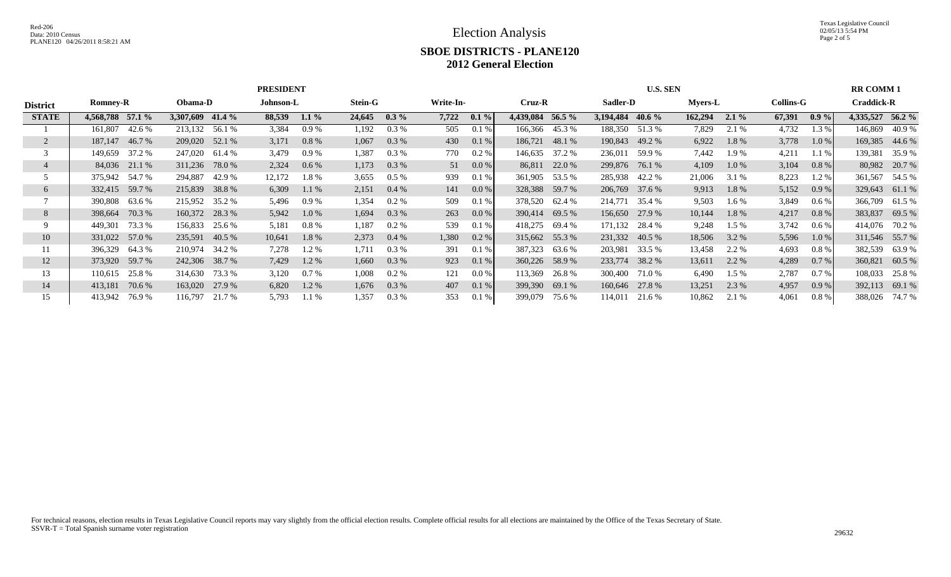# **SBOE DISTRICTS - PLANE120 2012 General Election**

|                 | <b>PRESIDENT</b>      |                   |                   |                   |                   |                       | <b>U.S. SEN</b>        |                    |                   |                       |  |  |  |  |
|-----------------|-----------------------|-------------------|-------------------|-------------------|-------------------|-----------------------|------------------------|--------------------|-------------------|-----------------------|--|--|--|--|
| <b>District</b> | <b>Romney-R</b>       | Obama-D           | Johnson-L         | <b>Stein-G</b>    | Write-In-         | Cruz-R                | Sadler-D               | <b>Mvers-L</b>     | <b>Collins-G</b>  | <b>Craddick-R</b>     |  |  |  |  |
| <b>STATE</b>    | $57.1\%$<br>4,568,788 | 3,307,609 41.4 %  | 88,539<br>$1.1\%$ | 24,645<br>$0.3\%$ | 7,722<br>$0.1 \%$ | 4,439,084<br>56.5 $%$ | 3,194,484<br>40.6 $\%$ | 162,294<br>$2.1\%$ | 67,391<br>$0.9\%$ | $56.2\%$<br>4,335,527 |  |  |  |  |
|                 | 42.6 %<br>161,807     | 213,132 56.1 %    | 3,384<br>0.9%     | $0.3\%$<br>1,192  | 505<br>0.1%       | 166,366<br>45.3 %     | 188,350 51.3 %         | 7,829<br>2.1 %     | 4,732<br>1.3 %    | 40.9%<br>146,869      |  |  |  |  |
|                 | 187,147 46.7 %        | 209,020 52.1 %    | 3,171<br>$0.8\%$  | 1,067<br>0.3 %    | 0.1 %<br>430      | 186,721<br>48.1 %     | 190,843 49.2 %         | 6,922<br>1.8%      | 3,778<br>1.0%     | 169,385 44.6 %        |  |  |  |  |
|                 | 37.2 %<br>149,659     | 247,020<br>61.4 % | 3,479<br>$0.9\%$  | $0.3\%$<br>1,387  | $0.2\%$<br>770    | 146,635<br>37.2 %     | 236,011<br>59.9 %      | 7,442<br>1.9 %     | 4,211<br>1.1 %    | 139,381<br>35.9%      |  |  |  |  |
|                 | 84,036 21.1 %         | 311,236<br>78.0 % | 2,324<br>$0.6\%$  | 1,173<br>$0.3\%$  | 51<br>$0.0\%$     | 22.0 %<br>86,811      | 299,876 76.1 %         | 4,109<br>$1.0\%$   | 3,104<br>0.8 %    | 80,982<br>20.7 %      |  |  |  |  |
|                 | 375,942 54.7 %        | 294,887<br>42.9 % | 12,172<br>1.8%    | 3,655<br>$0.5\%$  | 939<br>0.1%       | 361,905<br>53.5 %     | 285,938 42.2 %         | 21,006<br>3.1 %    | 8,223<br>1.2 %    | 361,567 54.5 %        |  |  |  |  |
| 6               | 59.7 %<br>332,415     | 215,839 38.8 %    | 6,309<br>1.1%     | 2,151<br>$0.4\%$  | 141<br>0.0 %      | 328,388<br>59.7 %     | 206,769 37.6 %         | 9.913<br>1.8%      | 5,152<br>0.9%     | 329,643 61.1 %        |  |  |  |  |
|                 | 390,808<br>63.6 %     | 215,952 35.2 %    | 0.9%<br>5,496     | $0.2\%$<br>1,354  | 509<br>0.1%       | 378,520<br>62.4 %     | 214,771<br>35.4 %      | 9,503<br>$1.6\%$   | 3,849<br>$0.6\%$  | 366,709<br>61.5 %     |  |  |  |  |
| 8               | 70.3 %<br>398,664     | 160,372 28.3 %    | 5,942<br>1.0%     | $0.3\%$<br>1,694  | 263<br>0.0 %      | 390,414<br>69.5 %     | 156,650 27.9 %         | 1.8%<br>10,144     | 4,217<br>0.8 %    | 383,837<br>69.5 %     |  |  |  |  |
|                 | 73.3 %<br>449,301     | 156,833<br>25.6 % | 5,181<br>$0.8\%$  | 1,187<br>$0.2\%$  | 539<br>0.1%       | 418,275<br>69.4 %     | 171,132 28.4 %         | 9,248<br>$1.5\%$   | 3,742<br>0.6 %    | 414,076 70.2 %        |  |  |  |  |
| 10              | 57.0 %<br>331,022     | 235,591<br>40.5 % | 10,641<br>1.8%    | 2,373<br>$0.4\%$  | 1,380<br>0.2 %    | 315,662<br>55.3 %     | 231,332 40.5 %         | 18,506<br>3.2 %    | 5,596<br>$1.0\%$  | 311,546 55.7 %        |  |  |  |  |
| 11              | 396,329<br>64.3 %     | 210,974<br>34.2 % | 7,278<br>1.2 %    | $0.3\%$<br>1,711  | 391<br>$0.1\%$    | 387,323<br>63.6 %     | 203,981<br>33.5 %      | 13,458<br>2.2 %    | 4,693<br>0.8 %    | 382,539<br>63.9%      |  |  |  |  |
| 12              | 373,920 59.7 %        | 242,306 38.7 %    | 1.2%<br>7,429     | 1,660<br>$0.3\%$  | 923<br>0.1 %      | 360,226 58.9 %        | 233,774 38.2 %         | 2.2 %<br>13,611    | 4,289<br>0.7%     | 360,821<br>60.5 %     |  |  |  |  |
| 13              | 25.8 %<br>110,615     | 314,630<br>73.3 % | 0.7%<br>3,120     | 1,008<br>$0.2\%$  | 121<br>$0.0\%$    | 113,369<br>26.8%      | 300,400 71.0 %         | 6,490<br>1.5 %     | 2,787<br>$0.7\%$  | 108,033<br>25.8 %     |  |  |  |  |
| 14              | 413,181<br>70.6 %     | 163,020<br>27.9 % | 1.2%<br>6,820     | $0.3\%$<br>1,676  | 407<br>$0.1\%$    | 399,390<br>69.1 %     | 160,646 27.8 %         | 2.3 %<br>13,251    | 4,957<br>0.9%     | 392,113<br>69.1 %     |  |  |  |  |
| 15              | 413,942<br>76.9 %     | 116,797<br>21.7 % | 5,793<br>1.1%     | $0.3\%$<br>1,357  | 353<br>0.1%       | 399,079<br>75.6 %     | 114,011<br>21.6 %      | 10,862<br>2.1 %    | 4,061<br>0.8 %    | 388,026<br>74.7 %     |  |  |  |  |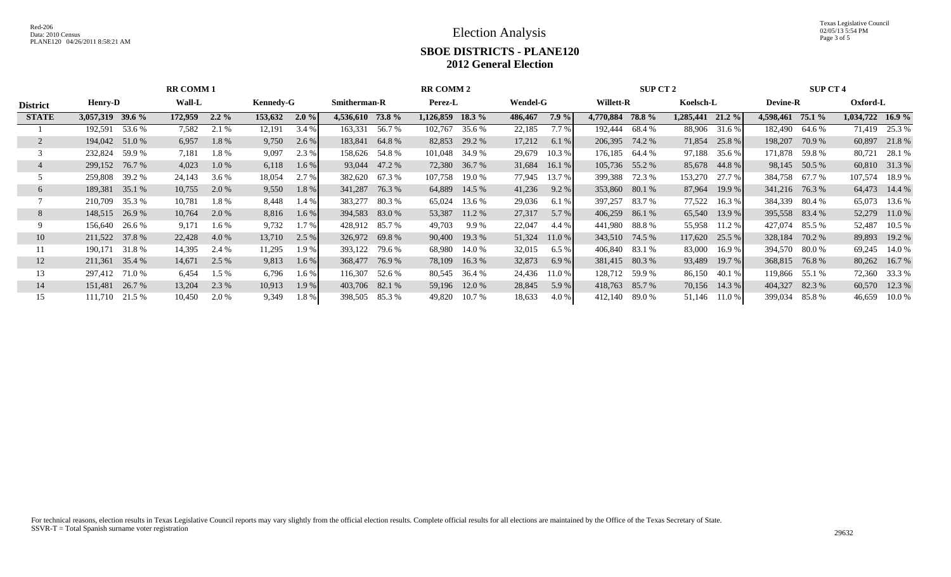Texas Legislative Council 02/05/13 5:54 PM Page 3 of 5

## **SBOE DISTRICTS - PLANE120 2012 General Election**

|                 | <b>RR COMM 1</b>  |               |         | <b>RR COMM 2</b> |          |                     |               |                    |                | SUP CT 2        |          |                  | <b>SUP CT 4</b> |                    |               |                  |               |                    |               |
|-----------------|-------------------|---------------|---------|------------------|----------|---------------------|---------------|--------------------|----------------|-----------------|----------|------------------|-----------------|--------------------|---------------|------------------|---------------|--------------------|---------------|
| <b>District</b> | <b>Henry-D</b>    | <b>Wall-L</b> |         | <b>Kennedy-G</b> |          | <b>Smitherman-R</b> |               | Perez-L            |                | <b>Wendel-G</b> |          | <b>Willett-R</b> |                 | Koelsch-L          |               | <b>Devine-R</b>  |               | Oxford-L           |               |
| <b>STATE</b>    | 3,057,319 39.6 %  | 172,959       | $2.2\%$ | 153,632          | $2.0 \%$ | 4,536,610 73.8 %    |               | $1,126,859$ 18.3 % |                | 486,467         | 7.9%     | 4,770,884        | <b>78.8</b> %   | $1,285,441$ 21.2 % |               | 4,598,461 75.1 % |               | $1,034,722$ 16.9 % |               |
|                 | 53.6 %<br>192,591 | 7,582         | 2.1 %   | 12,191           | 3.4 %    | 163,331             | 56.7 %        | 102,767            | 35.6 %         | 22,185          | $7.7\%$  | 192,444          | 68.4 %          | 88,906             | 31.6 %        | 182,490 64.6 %   |               | 71,419             | 25.3 %        |
|                 | 194,042 51.0 %    | 6,957         | 1.8%    | 9,750            | 2.6 %    | 183,841             | 64.8%         | 82,853             | 29.2 %         | 17,212          | 6.1%     | 206,395          | 74.2 %          | 71,854             | 25.8 %        | 198,207          | 70.9 %        | 60,897             | 21.8%         |
|                 | 232,824<br>59.9%  | 7,181         | 1.8%    | 9,097            | 2.3 %    | 158,626 54.8 %      |               |                    | 101,048 34.9 % | 29,679          | 10.3%    | 176,185          | 64.4 %          | 97,188             | 35.6 %        | 171,878 59.8 %   |               | 80,721             | 28.1 %        |
|                 | 76.7 %<br>299,152 | 4,023         | $1.0\%$ | 6,118            | $1.6\%$  |                     | 93,044 47.2 % | 72,380             | 36.7 %         | 31,684          | 16.1 $%$ | 105,736 55.2 %   |                 | 85,678             | 44.8 %        |                  | 98,145 50.5 % |                    | 60,810 31.3 % |
|                 | 259,808 39.2 %    | 24,143        | 3.6 %   | 18,054           | 2.7 %    | 382,620             | 67.3 %        | 107,758            | 19.0 %         | 77,945          | 13.7 %   | 399,388          | 72.3 %          | 153,270            | 27.7 %        | 384,758 67.7 %   |               | 107,574            | 18.9 %        |
| O.              | 189,381 35.1 %    | 10,755        | 2.0 %   | 9,550            | 1.8%     | 341,287             | 76.3 %        | 64,889             | 14.5 %         | 41,236          | 9.2%     | 353,860          | 80.1 %          | 87,964             | 19.9 %        | 341,216 76.3 %   |               | 64,473             | 14.4 %        |
|                 | 35.3 %<br>210,709 | 10,781        | 1.8%    | 8,448            | $1.4\%$  | 383,277             | 80.3 %        | 65,024             | 13.6 %         | 29,036          | 6.1 %    | 397,257          | 83.7 %          | 77,522             | 16.3 %        | 384,339 80.4 %   |               | 65,073             | 13.6 %        |
| 8               | 148,515<br>26.9 % | 10,764        | 2.0 %   | 8,816            | $1.6\%$  | 394,583             | 83.0 %        | 53,387             | 11.2 %         | 27,317          | 5.7 %    | 406,259          | 86.1 %          | 65,540             | 13.9 %        | 395,558 83.4 %   |               | 52,279             | 11.0 %        |
|                 | 156,640<br>26.6 % | 9,171         | 1.6 %   | 9,732            | $1.7\%$  | 428,912 85.7 %      |               | 49,703             | 9.9 %          | 22,047          | 4.4 %    | 441,980          | 88.8 %          | 55,958             | 11.2 %        | 427,074          | 85.5 %        | 52,487             | 10.5 %        |
| 10              | 211,522 37.8 %    | 22,428        | 4.0 %   | 13,710           | 2.5%     | 326,972 69.8 %      |               | 90,400             | 19.3 %         | 51,324          | 11.0%    | 343,510          | 74.5 %          | 117,620            | 25.5 %        | 328,184          | 70.2 %        | 89,893             | 19.2 %        |
| 11              | 190,171 31.8 %    | 14,395        | 2.4 %   | 11,295           | 1.9%     | 393,122             | 79.6 %        | 68,980             | 14.0 %         | 32,015          | 6.5%     | 406,840          | 83.1 %          | 83,000             | 16.9%         | 394,570          | 80.0 %        | 69,245             | 14.0 %        |
| 12              | 211,361 35.4 %    | 14,671        | 2.5 %   | 9,813            | $1.6\%$  | 368,477             | 76.9 %        | 78,109             | 16.3 %         | 32,873          | 6.9%     | 381,415 80.3 %   |                 | 93,489             | 19.7 %        | 368,815          | 76.8%         | 80,262             | 16.7%         |
| 13              | 297,412 71.0 %    | 6,454         | 1.5 %   | 6,796            | 1.6 %    | 116,307             | 52.6 %        |                    | 80,545 36.4 %  | 24,436          | 11.0 %   | 128,712          | 59.9 %          | 86,150             | 40.1 %        | 119,866 55.1 %   |               | 72,360             | 33.3 %        |
| 14              | 151,481<br>26.7 % | 13,204        | 2.3 %   | 10,913           | 1.9 %    | 403,706 82.1 %      |               |                    | 59,196 12.0 %  | 28,845          | 5.9 %    | 418,763          | 85.7 %          |                    | 70,156 14.3 % | 404,327          | 82.3%         | 60,570             | 12.3 %        |
| 15              | 111,710 21.5 %    | 10,450        | 2.0 %   | 9,349            | 1.8%     | 398,505             | 85.3 %        | 49,820             | 10.7 %         | 18,633          | 4.0 %    | 412,140          | 89.0 %          | 51,146             | 11.0 %        | 399,034          | 85.8 %        | 46,659             | 10.0 %        |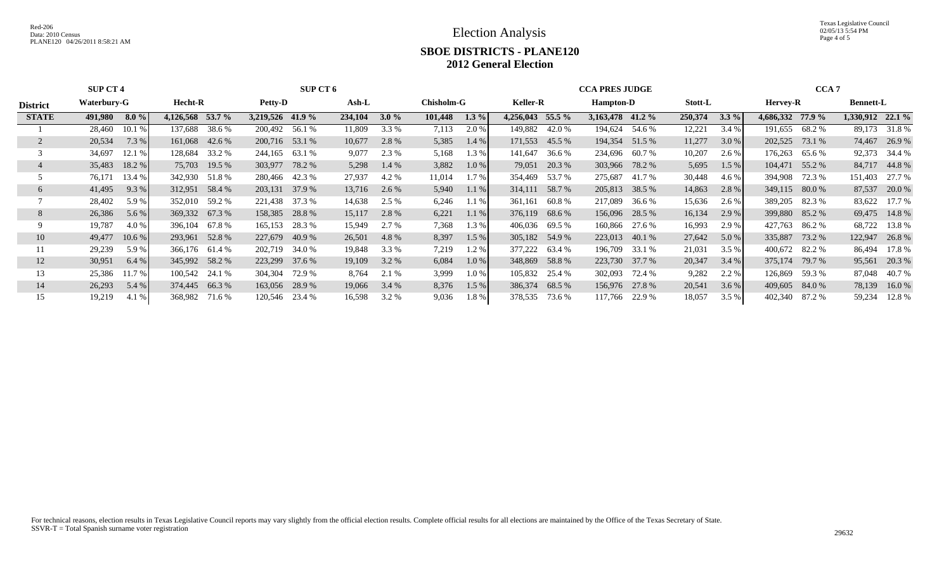Election Analysis

Texas Legislative Council 02/05/13 5:54 PM Page 4 of 5

# **SBOE DISTRICTS - PLANE120 2012 General Election**

|                 | <b>SUP CT 4</b> |         |                  | SUP CT 6<br><b>CCA PRES JUDGE</b> |                  |        |         |         |                   | CCA <sub>7</sub> |                 |          |                  |                |         |         |                    |        |                  |        |
|-----------------|-----------------|---------|------------------|-----------------------------------|------------------|--------|---------|---------|-------------------|------------------|-----------------|----------|------------------|----------------|---------|---------|--------------------|--------|------------------|--------|
| <b>District</b> | Waterbury-G     |         | Hecht-R          |                                   | Petty-D          |        | $Ash-L$ |         | <b>Chisholm-G</b> |                  | <b>Keller-R</b> |          | <b>Hampton-D</b> |                | Stott-L |         | <b>Hervey-R</b>    |        | <b>Bennett-L</b> |        |
| <b>STATE</b>    | 491,980         | $8.0\%$ | 4,126,568 53.7 % |                                   | 3,219,526 41.9 % |        | 234,104 | $3.0\%$ | 101,448           | $1.3\%$          | 4,256,043       | 55.5 $%$ | 3,163,478 41.2 % |                | 250,374 | $3.3\%$ | $4,686,332$ 77.9 % |        | 1,330,912 22.1 % |        |
|                 | 28,460          | 10.1%   | 137,688          | 38.6 %                            | 200,492 56.1 %   |        | 11,809  | 3.3 %   | 7,113             | 2.0 %            | 149,882         | 42.0 %   |                  | 194,624 54.6 % | 12,221  | 3.4 %   | 191,655            | 68.2 % | 89,173           | 31.8%  |
|                 | 20,534          | 7.3%    | 161,068 42.6 %   |                                   | 200,716 53.1 %   |        | 10,677  | 2.8%    | 5,385             | 1.4%             | 171,553         | 45.5 %   |                  | 194,354 51.5 % | 11,277  | 3.0 %   | 202,525            | 73.1 % | 74,467           | 26.9 % |
|                 | 34,697          | 12.1%   | 128,684          | 33.2 %                            | 244,165 63.1 %   |        | 9,077   | 2.3 %   | 5,168             | 1.3%             | 141,647         | 36.6 %   | 234,696 60.7 %   |                | 10,207  | 2.6 %   | 176,263            | 65.6 % | 92,373           | 34.4 % |
|                 | 35,483          | 18.2 %  | 75,703           | 19.5 %                            | 303,977          | 78.2 % | 5,298   | 1.4 %   | 3,882             | 1.0%             | 79,051          | 20.3 %   | 303,966 78.2 %   |                | 5,695   | 1.5%    | 104,471            | 55.2 % | 84,717           | 44.8%  |
|                 | 76.171          | 13.4 %  | 342,930          | 51.8%                             | 280,466          | 42.3 % | 27,937  | 4.2 %   | 11,014            | $1.7\%$          | 354,469         | 53.7 %   | 275,687          | 41.7 %         | 30,448  | 4.6 %   | 394,908 72.3 %     |        | 151,403          | 27.7 % |
| 6               | 41,495          | 9.3%    | 312,951 58.4 %   |                                   | 203,131 37.9 %   |        | 13,716  | 2.6 %   | 5,940             | 1.1%             | 314,111         | 58.7 %   | 205,813 38.5 %   |                | 14,863  | 2.8 %   | 349,115 80.0 %     |        | 87,537           | 20.0 % |
|                 | 28,402          | 5.9%    | 352,010          | 59.2 %                            | 221,438 37.3 %   |        | 14,638  | 2.5 %   | 6,246             | 1.1%             | 361,161         | 60.8 %   | 217,089          | 36.6 %         | 15,636  | 2.6 %   | 389,205 82.3 %     |        | 83,622           | 17.7 % |
| 8               | 26,386          | 5.6 %   | 369,332          | 67.3 %                            | 158,385          | 28.8%  | 15,117  | 2.8%    | 6,221             | 1.1%             | 376,119         | 68.6 %   |                  | 156,096 28.5 % | 16,134  | 2.9 %   | 399,880 85.2 %     |        | 69,475           | 14.8%  |
|                 | 19,787          | 4.0 %   | 396,104          | 67.8 %                            | 165,153          | 28.3 % | 15,949  | 2.7 %   | 7,368             | 1.3 %            | 406,036         | 69.5 %   |                  | 160,866 27.6 % | 16,993  | 2.9 %   | 427,763            | 86.2 % | 68,722           | 13.8 % |
| 10              | 49,477          | 10.6%   | 293,961 52.8 %   |                                   | 227,679          | 40.9 % | 26,501  | 4.8%    | 8,397             | 1.5%             | 305,182         | 54.9 %   | 223,013          | 40.1 %         | 27,642  | 5.0 %   | 335,887            | 73.2 % | 122,947          | 26.8%  |
|                 | 29,239          | 5.9 %   | 366,176 61.4 %   |                                   | 202,719          | 34.0 % | 19,848  | 3.3 %   | 7,219             | 1.2%             | 377,222         | 63.4 %   | 196,709          | 33.1 %         | 21,031  | 3.5 %   | 400,672 82.2 %     |        | 86,494           | 17.8 % |
| 12              | 30,951          | 6.4%    | 345,992 58.2 %   |                                   | 223,299 37.6 %   |        | 19,109  | $3.2\%$ | 6,084             | 1.0%             | 348,869         | 58.8%    | 223,730 37.7 %   |                | 20,347  | 3.4%    | 375,174 79.7 %     |        | 95,561           | 20.3 % |
| 13              | 25,386          | 11.7%   | 100,542 24.1 %   |                                   | 304.304          | 72.9 % | 8,764   | 2.1 %   | 3,999             | $1.0\%$          | 105,832         | 25.4 %   | 302,093          | 72.4 %         | 9,282   | 2.2 %   | 126,869 59.3 %     |        | 87,048           | 40.7 % |
| 14              | 26,293          | 5.4 %   | 374,445 66.3 %   |                                   | 163,056 28.9 %   |        | 19,066  | 3.4%    | 8,376             | 1.5 %            | 386,374         | 68.5 %   |                  | 156,976 27.8 % | 20,541  | $3.6\%$ | 409,605 84.0 %     |        | 78,139           | 16.0%  |
| 15              | 19,219          | 4.1 %   | 368,982          | 71.6 %                            | 120,546 23.4 %   |        | 16,598  | 3.2 %   | 9,036             | 1.8 %            | 378,535         | 73.6 %   |                  | 117,766 22.9 % | 18,057  | 3.5%    | 402,340 87.2 %     |        | 59,234           | 12.8 % |

For technical reasons, election results in Texas Legislative Council reports may vary slightly from the official election results. Complete official results for all elections are maintained by the Office of the Texas Secre SSVR-T = Total Spanish surname voter registration <sup>29632</sup>